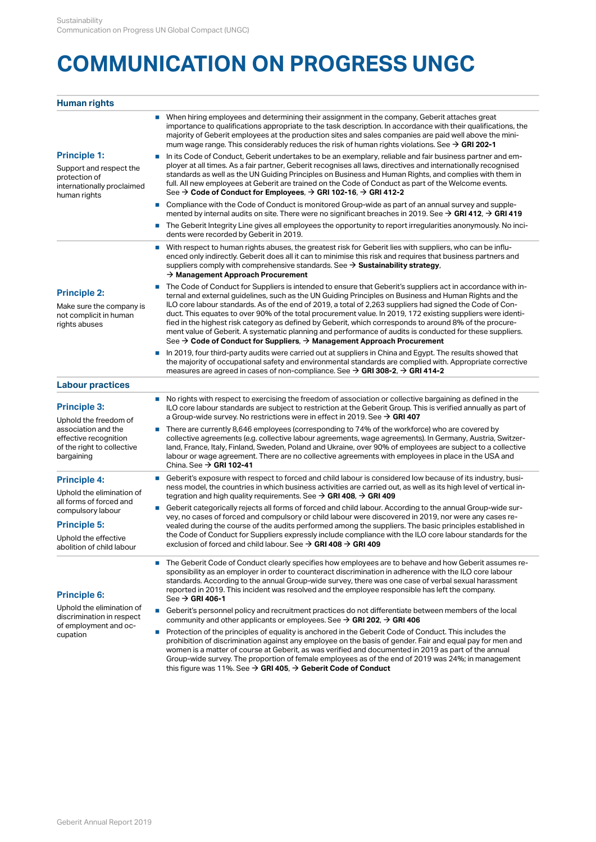## **COMMUNICATION ON PROGRESS UNGC**

## **Human rights**

|                                                                                                                                          | When hiring employees and determining their assignment in the company, Geberit attaches great<br>importance to qualifications appropriate to the task description. In accordance with their qualifications, the<br>majority of Geberit employees at the production sites and sales companies are paid well above the mini-<br>mum wage range. This considerably reduces the risk of human rights violations. See $\rightarrow$ GRI 202-1                                                                                                         |
|------------------------------------------------------------------------------------------------------------------------------------------|--------------------------------------------------------------------------------------------------------------------------------------------------------------------------------------------------------------------------------------------------------------------------------------------------------------------------------------------------------------------------------------------------------------------------------------------------------------------------------------------------------------------------------------------------|
| <b>Principle 1:</b>                                                                                                                      | In its Code of Conduct, Geberit undertakes to be an exemplary, reliable and fair business partner and em-                                                                                                                                                                                                                                                                                                                                                                                                                                        |
| Support and respect the<br>protection of<br>internationally proclaimed<br>human rights                                                   | ployer at all times. As a fair partner, Geberit recognises all laws, directives and internationally recognised<br>standards as well as the UN Guiding Principles on Business and Human Rights, and complies with them in<br>full. All new employees at Geberit are trained on the Code of Conduct as part of the Welcome events.<br>See $\rightarrow$ Code of Conduct for Employees, $\rightarrow$ GRI 102-16, $\rightarrow$ GRI 412-2                                                                                                           |
|                                                                                                                                          | Compliance with the Code of Conduct is monitored Group-wide as part of an annual survey and supple-<br>×,<br>mented by internal audits on site. There were no significant breaches in 2019. See $\rightarrow$ GRI 412, $\rightarrow$ GRI 419                                                                                                                                                                                                                                                                                                     |
|                                                                                                                                          | The Geberit Integrity Line gives all employees the opportunity to report irregularities anonymously. No inci-<br>×<br>dents were recorded by Geberit in 2019.                                                                                                                                                                                                                                                                                                                                                                                    |
|                                                                                                                                          | With respect to human rights abuses, the greatest risk for Geberit lies with suppliers, who can be influ-<br>×,<br>enced only indirectly. Geberit does all it can to minimise this risk and requires that business partners and<br>suppliers comply with comprehensive standards. See $\rightarrow$ Sustainability strategy,<br>$\rightarrow$ Management Approach Procurement                                                                                                                                                                    |
| <b>Principle 2:</b>                                                                                                                      | The Code of Conduct for Suppliers is intended to ensure that Geberit's suppliers act in accordance with in-<br>ternal and external guidelines, such as the UN Guiding Principles on Business and Human Rights and the                                                                                                                                                                                                                                                                                                                            |
| Make sure the company is<br>not complicit in human<br>rights abuses                                                                      | ILO core labour standards. As of the end of 2019, a total of 2,263 suppliers had signed the Code of Con-<br>duct. This equates to over 90% of the total procurement value. In 2019, 172 existing suppliers were identi-<br>fied in the highest risk category as defined by Geberit, which corresponds to around 8% of the procure-<br>ment value of Geberit. A systematic planning and performance of audits is conducted for these suppliers.<br>See $\rightarrow$ Code of Conduct for Suppliers, $\rightarrow$ Management Approach Procurement |
|                                                                                                                                          | In 2019, four third-party audits were carried out at suppliers in China and Egypt. The results showed that<br>the majority of occupational safety and environmental standards are complied with. Appropriate corrective<br>measures are agreed in cases of non-compliance. See $\rightarrow$ GRI 308-2, $\rightarrow$ GRI 414-2                                                                                                                                                                                                                  |
| <b>Labour practices</b>                                                                                                                  |                                                                                                                                                                                                                                                                                                                                                                                                                                                                                                                                                  |
| <b>Principle 3:</b><br>Uphold the freedom of<br>association and the<br>effective recognition<br>of the right to collective<br>bargaining | No rights with respect to exercising the freedom of association or collective bargaining as defined in the<br>×<br>ILO core labour standards are subject to restriction at the Geberit Group. This is verified annually as part of<br>a Group-wide survey. No restrictions were in effect in 2019. See $\rightarrow$ GRI 407                                                                                                                                                                                                                     |
|                                                                                                                                          | There are currently 8,646 employees (corresponding to 74% of the workforce) who are covered by<br>×.<br>collective agreements (e.g. collective labour agreements, wage agreements). In Germany, Austria, Switzer-<br>land, France, Italy, Finland, Sweden, Poland and Ukraine, over 90% of employees are subject to a collective<br>labour or wage agreement. There are no collective agreements with employees in place in the USA and<br>China. See $\rightarrow$ GRI 102-41                                                                   |
| <b>Principle 4:</b><br>Uphold the elimination of                                                                                         | Geberit's exposure with respect to forced and child labour is considered low because of its industry, busi-<br>×<br>ness model, the countries in which business activities are carried out, as well as its high level of vertical in-<br>tegration and high quality requirements. See $\rightarrow$ GRI 408, $\rightarrow$ GRI 409                                                                                                                                                                                                               |
| all forms of forced and<br>compulsory labour                                                                                             | -Geberit categorically rejects all forms of forced and child labour. According to the annual Group-wide sur-                                                                                                                                                                                                                                                                                                                                                                                                                                     |
| <b>Principle 5:</b><br>Uphold the effective<br>abolition of child labour                                                                 | vey, no cases of forced and compulsory or child labour were discovered in 2019, nor were any cases re-<br>vealed during the course of the audits performed among the suppliers. The basic principles established in                                                                                                                                                                                                                                                                                                                              |
|                                                                                                                                          | the Code of Conduct for Suppliers expressly include compliance with the ILO core labour standards for the<br>exclusion of forced and child labour. See $\rightarrow$ GRI 408 $\rightarrow$ GRI 409                                                                                                                                                                                                                                                                                                                                               |
| <b>Principle 6:</b>                                                                                                                      | The Geberit Code of Conduct clearly specifies how employees are to behave and how Geberit assumes re-<br>sponsibility as an employer in order to counteract discrimination in adherence with the ILO core labour<br>standards. According to the annual Group-wide survey, there was one case of verbal sexual harassment<br>reported in 2019. This incident was resolved and the employee responsible has left the company.<br>See $\rightarrow$ GRI 406-1                                                                                       |
| Uphold the elimination of<br>discrimination in respect<br>of employment and oc-<br>cupation                                              | Geberit's personnel policy and recruitment practices do not differentiate between members of the local<br>×.<br>community and other applicants or employees. See $\rightarrow$ GRI 202, $\rightarrow$ GRI 406                                                                                                                                                                                                                                                                                                                                    |
|                                                                                                                                          | Protection of the principles of equality is anchored in the Geberit Code of Conduct. This includes the<br>×<br>prohibition of discrimination against any employee on the basis of gender. Fair and equal pay for men and<br>women is a matter of course at Geberit, as was verified and documented in 2019 as part of the annual<br>Group-wide survey. The proportion of female employees as of the end of 2019 was 24%; in management<br>this figure was 11%. See $\rightarrow$ GRI 405, $\rightarrow$ Geberit Code of Conduct                  |